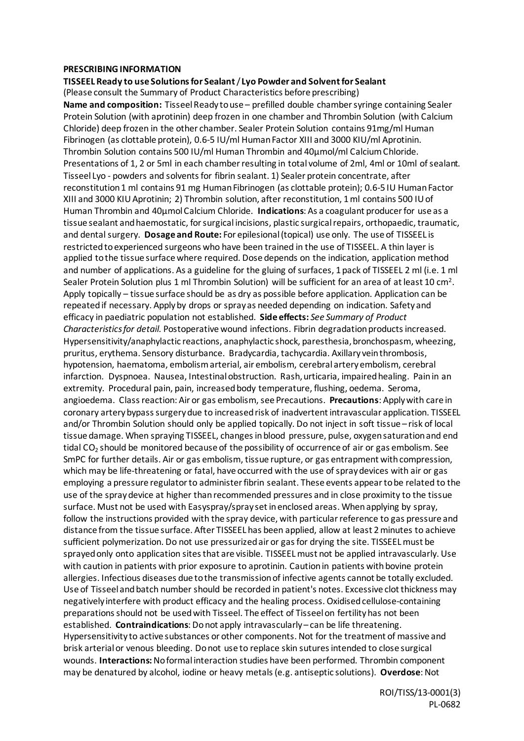## **PRESCRIBING INFORMATION**

**TISSEEL Ready to use Solutions for Sealant**/ **Lyo Powder and Solvent for Sealant**

(Please consult the Summary of Product Characteristics before prescribing)

**Name and composition:** Tisseel Ready to use – prefilled double chamber syringe containing Sealer Protein Solution (with aprotinin) deep frozen in one chamber and Thrombin Solution (with Calcium Chloride) deep frozen in the other chamber. Sealer Protein Solution contains 91mg/ml Human Fibrinogen (as clottable protein), 0.6-5 IU/ml Human Factor XIII and 3000 KIU/ml Aprotinin. Thrombin Solution contains 500 IU/ml Human Thrombin and 40μmol/ml Calcium Chloride. Presentations of 1, 2 or 5ml in each chamber resulting in total volume of 2ml, 4ml or 10ml of sealant. Tisseel Lyo - powders and solvents for fibrin sealant. 1) Sealer protein concentrate, after reconstitution 1 ml contains 91 mg Human Fibrinogen (as clottable protein); 0.6-5 IU Human Factor XIII and 3000 KIU Aprotinin; 2) Thrombin solution, after reconstitution, 1 ml contains 500 IU of Human Thrombin and 40μmol Calcium Chloride. **Indications**: As a coagulant producer for use as a tissue sealant and haemostatic, for surgical incisions, plastic surgical repairs, orthopaedic, traumatic, and dental surgery. **Dosage and Route:** For epilesional (topical) use only. The use of TISSEEL is restricted to experienced surgeons who have been trained in the use of TISSEEL. A thin layer is applied to the tissue surface where required. Dose depends on the indication, application method and number of applications. As a guideline for the gluing of surfaces, 1 pack of TISSEEL 2 ml (i.e. 1 ml Sealer Protein Solution plus 1 ml Thrombin Solution) will be sufficient for an area of at least 10 cm<sup>2</sup>. Apply topically – tissue surface should be as dry as possible before application. Application can be repeated if necessary. Apply by drops or spray as needed depending on indication. Safety and efficacy in paediatric population not established. **Side effects:** *See Summary of Product Characteristics for detail.* Postoperative wound infections. Fibrin degradation products increased. Hypersensitivity/anaphylactic reactions, anaphylactic shock, paresthesia, bronchospasm, wheezing, pruritus, erythema. Sensory disturbance. Bradycardia, tachycardia. Axillary vein thrombosis, hypotension, haematoma, embolism arterial, air embolism, cerebral artery embolism, cerebral infarction. Dyspnoea. Nausea, Intestinal obstruction. Rash, urticaria, impaired healing. Pain in an extremity. Procedural pain, pain, increased body temperature, flushing, oedema. Seroma, angioedema. Class reaction: Air or gas embolism, see Precautions. **Precautions**: Apply with care in coronary artery bypass surgery due to increased risk of inadvertent intravascular application. TISSEEL and/or Thrombin Solution should only be applied topically. Do not inject in soft tissue – risk of local tissue damage. When spraying TISSEEL, changes in blood pressure, pulse, oxygen saturation and end tidal CO<sub>2</sub> should be monitored because of the possibility of occurrence of air or gas embolism. See SmPC for further details. Air or gas embolism, tissue rupture, or gas entrapment with compression, which may be life-threatening or fatal, have occurred with the use of spray devices with air or gas employing a pressure regulator to administer fibrin sealant. These events appear to be related to the use of the spray device at higher than recommended pressures and in close proximity to the tissue surface. Must not be used with Easyspray/spray set in enclosed areas. When applying by spray, follow the instructions provided with the spray device, with particular reference to gas pressure and distance from the tissue surface. After TISSEEL has been applied, allow at least 2 minutes to achieve sufficient polymerization. Do not use pressurized air or gas for drying the site. TISSEEL must be sprayed only onto application sites that are visible. TISSEEL must not be applied intravascularly. Use with caution in patients with prior exposure to aprotinin. Caution in patients with bovine protein allergies. Infectious diseases due to the transmission of infective agents cannot be totally excluded. Use of Tisseel and batch number should be recorded in patient's notes. Excessive clot thickness may negatively interfere with product efficacy and the healing process. Oxidised cellulose-containing preparations should not be used with Tisseel. The effect of Tisseelon fertility has not been established. **Contraindications**: Do not apply intravascularly– can be life threatening. Hypersensitivity to active substances or other components. Not for the treatment of massive and brisk arterial or venous bleeding. Do not use to replace skin sutures intended to close surgical wounds. **Interactions:**No formal interaction studies have been performed. Thrombin component may be denatured by alcohol, iodine or heavy metals (e.g. antiseptic solutions). **Overdose**: Not